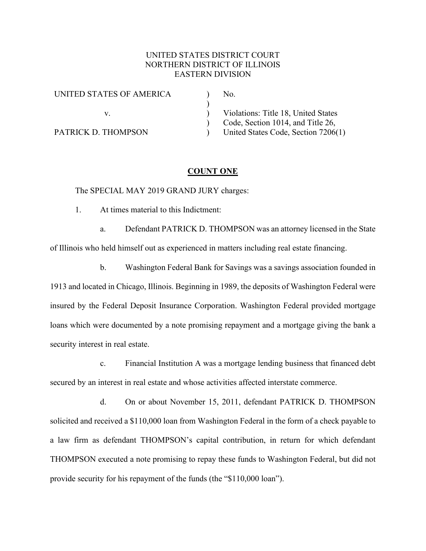# UNITED STATES DISTRICT COURT NORTHERN DISTRICT OF ILLINOIS EASTERN DIVISION

| UNITED STATES OF AMERICA | No.                                 |
|--------------------------|-------------------------------------|
|                          |                                     |
|                          | Violations: Title 18, United States |
|                          | Code, Section 1014, and Title 26,   |
| PATRICK D. THOMPSON      | United States Code, Section 7206(1) |

## **COUNT ONE**

The SPECIAL MAY 2019 GRAND JURY charges:

1. At times material to this Indictment:

a. Defendant PATRICK D. THOMPSON was an attorney licensed in the State of Illinois who held himself out as experienced in matters including real estate financing.

b. Washington Federal Bank for Savings was a savings association founded in 1913 and located in Chicago, Illinois. Beginning in 1989, the deposits of Washington Federal were insured by the Federal Deposit Insurance Corporation. Washington Federal provided mortgage loans which were documented by a note promising repayment and a mortgage giving the bank a security interest in real estate.

c. Financial Institution A was a mortgage lending business that financed debt secured by an interest in real estate and whose activities affected interstate commerce.

d. On or about November 15, 2011, defendant PATRICK D. THOMPSON solicited and received a \$110,000 loan from Washington Federal in the form of a check payable to a law firm as defendant THOMPSON's capital contribution, in return for which defendant THOMPSON executed a note promising to repay these funds to Washington Federal, but did not provide security for his repayment of the funds (the "\$110,000 loan").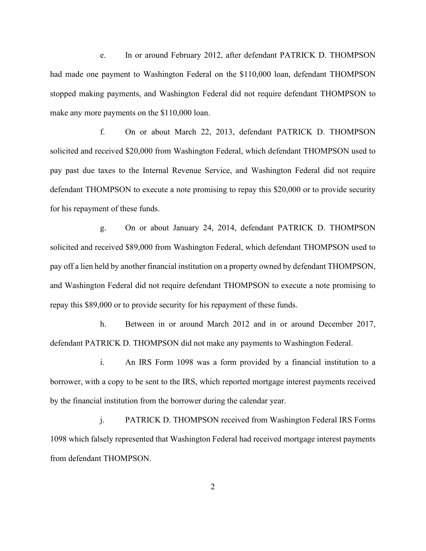e. In or around February 2012, after defendant PATRICK D. THOMPSON had made one payment to Washington Federal on the \$110,000 loan, defendant THOMPSON stopped making payments, and Washington Federal did not require defendant THOMPSON to make any more payments on the \$110,000 loan.

f. On or about March 22, 2013, defendant PATRICK D. THOMPSON solicited and received \$20,000 from Washington Federal, which defendant THOMPSON used to pay past due taxes to the Internal Revenue Service, and Washington Federal did not require defendant THOMPSON to execute a note promising to repay this \$20,000 or to provide security for his repayment of these funds.

g. On or about January 24, 2014, defendant PATRICK D. THOMPSON solicited and received \$89,000 from Washington Federal, which defendant THOMPSON used to pay off a lien held by another financial institution on a property owned by defendant THOMPSON, and Washington Federal did not require defendant THOMPSON to execute a note promising to repay this \$89,000 or to provide security for his repayment of these funds.

h. Between in or around March 2012 and in or around December 2017, defendant PATRICK D. THOMPSON did not make any payments to Washington Federal.

i. An IRS Form 1098 was a form provided by a financial institution to a borrower, with a copy to be sent to the IRS, which reported mortgage interest payments received by the financial institution from the borrower during the calendar year.

j. PATRICK D. THOMPSON received from Washington Federal IRS Forms 1098 which falsely represented that Washington Federal had received mortgage interest payments from defendant THOMPSON.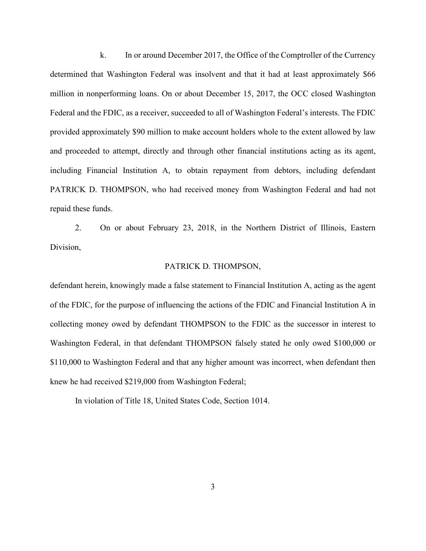k. In or around December 2017, the Office of the Comptroller of the Currency determined that Washington Federal was insolvent and that it had at least approximately \$66 million in nonperforming loans. On or about December 15, 2017, the OCC closed Washington Federal and the FDIC, as a receiver, succeeded to all of Washington Federal's interests. The FDIC provided approximately \$90 million to make account holders whole to the extent allowed by law and proceeded to attempt, directly and through other financial institutions acting as its agent, including Financial Institution A, to obtain repayment from debtors, including defendant PATRICK D. THOMPSON, who had received money from Washington Federal and had not repaid these funds.

2. On or about February 23, 2018, in the Northern District of Illinois, Eastern Division,

#### PATRICK D. THOMPSON,

defendant herein, knowingly made a false statement to Financial Institution A, acting as the agent of the FDIC, for the purpose of influencing the actions of the FDIC and Financial Institution A in collecting money owed by defendant THOMPSON to the FDIC as the successor in interest to Washington Federal, in that defendant THOMPSON falsely stated he only owed \$100,000 or \$110,000 to Washington Federal and that any higher amount was incorrect, when defendant then knew he had received \$219,000 from Washington Federal;

In violation of Title 18, United States Code, Section 1014.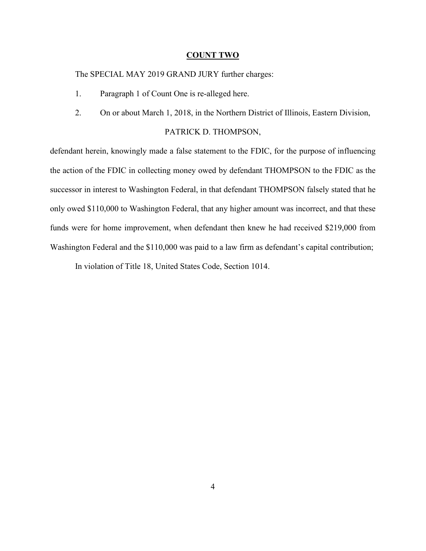### **COUNT TWO**

The SPECIAL MAY 2019 GRAND JURY further charges:

- 1. Paragraph 1 of Count One is re-alleged here.
- 2. On or about March 1, 2018, in the Northern District of Illinois, Eastern Division,

## PATRICK D. THOMPSON,

defendant herein, knowingly made a false statement to the FDIC, for the purpose of influencing the action of the FDIC in collecting money owed by defendant THOMPSON to the FDIC as the successor in interest to Washington Federal, in that defendant THOMPSON falsely stated that he only owed \$110,000 to Washington Federal, that any higher amount was incorrect, and that these funds were for home improvement, when defendant then knew he had received \$219,000 from Washington Federal and the \$110,000 was paid to a law firm as defendant's capital contribution;

In violation of Title 18, United States Code, Section 1014.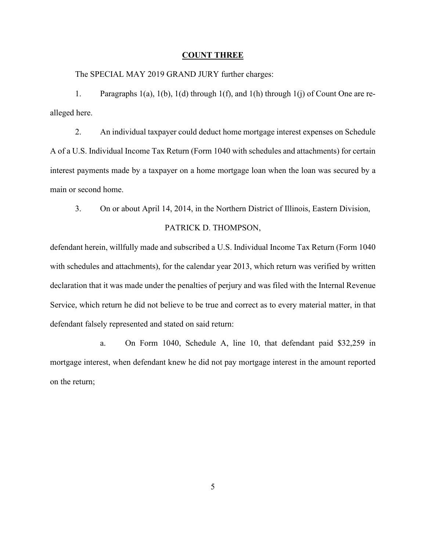#### **COUNT THREE**

The SPECIAL MAY 2019 GRAND JURY further charges:

1. Paragraphs 1(a), 1(b), 1(d) through 1(f), and 1(h) through 1(j) of Count One are realleged here.

2. An individual taxpayer could deduct home mortgage interest expenses on Schedule A of a U.S. Individual Income Tax Return (Form 1040 with schedules and attachments) for certain interest payments made by a taxpayer on a home mortgage loan when the loan was secured by a main or second home.

3. On or about April 14, 2014, in the Northern District of Illinois, Eastern Division,

### PATRICK D. THOMPSON,

defendant herein, willfully made and subscribed a U.S. Individual Income Tax Return (Form 1040 with schedules and attachments), for the calendar year 2013, which return was verified by written declaration that it was made under the penalties of perjury and was filed with the Internal Revenue Service, which return he did not believe to be true and correct as to every material matter, in that defendant falsely represented and stated on said return:

a. On Form 1040, Schedule A, line 10, that defendant paid \$32,259 in mortgage interest, when defendant knew he did not pay mortgage interest in the amount reported on the return;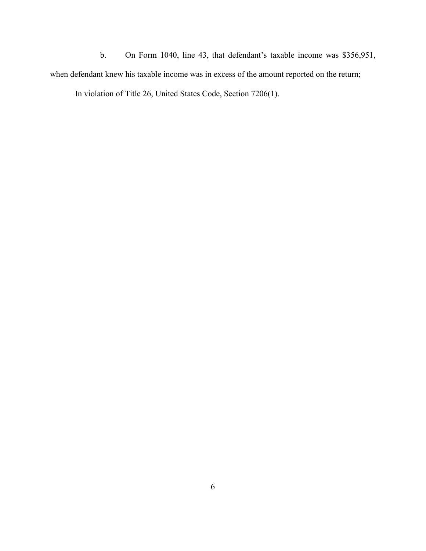b. On Form 1040, line 43, that defendant's taxable income was \$356,951, when defendant knew his taxable income was in excess of the amount reported on the return; In violation of Title 26, United States Code, Section 7206(1).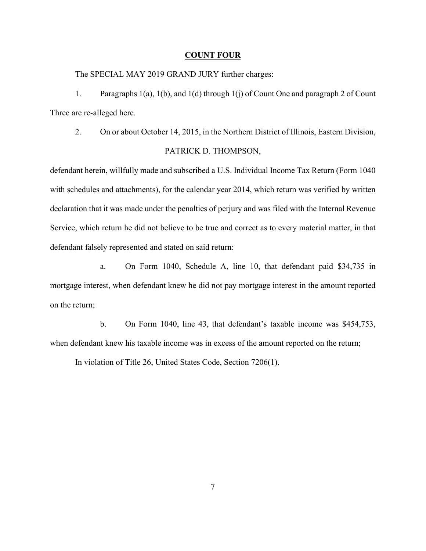#### **COUNT FOUR**

The SPECIAL MAY 2019 GRAND JURY further charges:

1. Paragraphs 1(a), 1(b), and 1(d) through 1(j) of Count One and paragraph 2 of Count Three are re-alleged here.

2. On or about October 14, 2015, in the Northern District of Illinois, Eastern Division, PATRICK D. THOMPSON,

defendant herein, willfully made and subscribed a U.S. Individual Income Tax Return (Form 1040 with schedules and attachments), for the calendar year 2014, which return was verified by written declaration that it was made under the penalties of perjury and was filed with the Internal Revenue Service, which return he did not believe to be true and correct as to every material matter, in that defendant falsely represented and stated on said return:

a. On Form 1040, Schedule A, line 10, that defendant paid \$34,735 in mortgage interest, when defendant knew he did not pay mortgage interest in the amount reported on the return;

b. On Form 1040, line 43, that defendant's taxable income was \$454,753, when defendant knew his taxable income was in excess of the amount reported on the return;

In violation of Title 26, United States Code, Section 7206(1).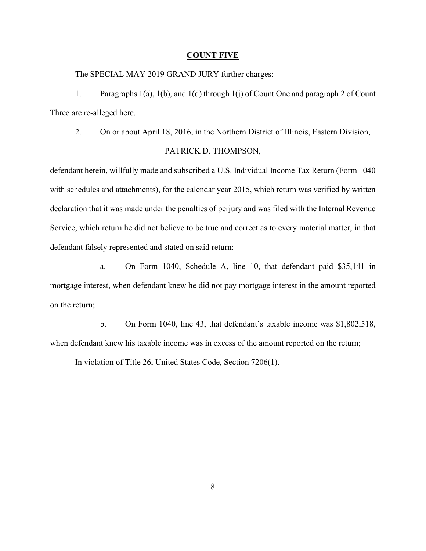#### **COUNT FIVE**

The SPECIAL MAY 2019 GRAND JURY further charges:

1. Paragraphs 1(a), 1(b), and 1(d) through 1(j) of Count One and paragraph 2 of Count Three are re-alleged here.

2. On or about April 18, 2016, in the Northern District of Illinois, Eastern Division, PATRICK D. THOMPSON,

defendant herein, willfully made and subscribed a U.S. Individual Income Tax Return (Form 1040 with schedules and attachments), for the calendar year 2015, which return was verified by written declaration that it was made under the penalties of perjury and was filed with the Internal Revenue Service, which return he did not believe to be true and correct as to every material matter, in that defendant falsely represented and stated on said return:

a. On Form 1040, Schedule A, line 10, that defendant paid \$35,141 in mortgage interest, when defendant knew he did not pay mortgage interest in the amount reported on the return;

b. On Form 1040, line 43, that defendant's taxable income was \$1,802,518, when defendant knew his taxable income was in excess of the amount reported on the return;

In violation of Title 26, United States Code, Section 7206(1).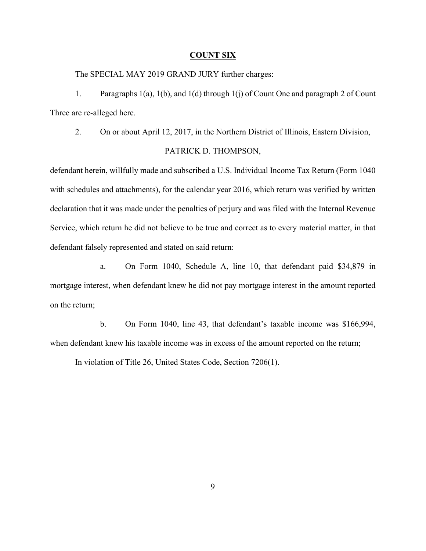#### **COUNT SIX**

The SPECIAL MAY 2019 GRAND JURY further charges:

1. Paragraphs 1(a), 1(b), and 1(d) through 1(j) of Count One and paragraph 2 of Count Three are re-alleged here.

2. On or about April 12, 2017, in the Northern District of Illinois, Eastern Division, PATRICK D. THOMPSON,

defendant herein, willfully made and subscribed a U.S. Individual Income Tax Return (Form 1040 with schedules and attachments), for the calendar year 2016, which return was verified by written declaration that it was made under the penalties of perjury and was filed with the Internal Revenue Service, which return he did not believe to be true and correct as to every material matter, in that defendant falsely represented and stated on said return:

a. On Form 1040, Schedule A, line 10, that defendant paid \$34,879 in mortgage interest, when defendant knew he did not pay mortgage interest in the amount reported on the return;

b. On Form 1040, line 43, that defendant's taxable income was \$166,994, when defendant knew his taxable income was in excess of the amount reported on the return;

In violation of Title 26, United States Code, Section 7206(1).